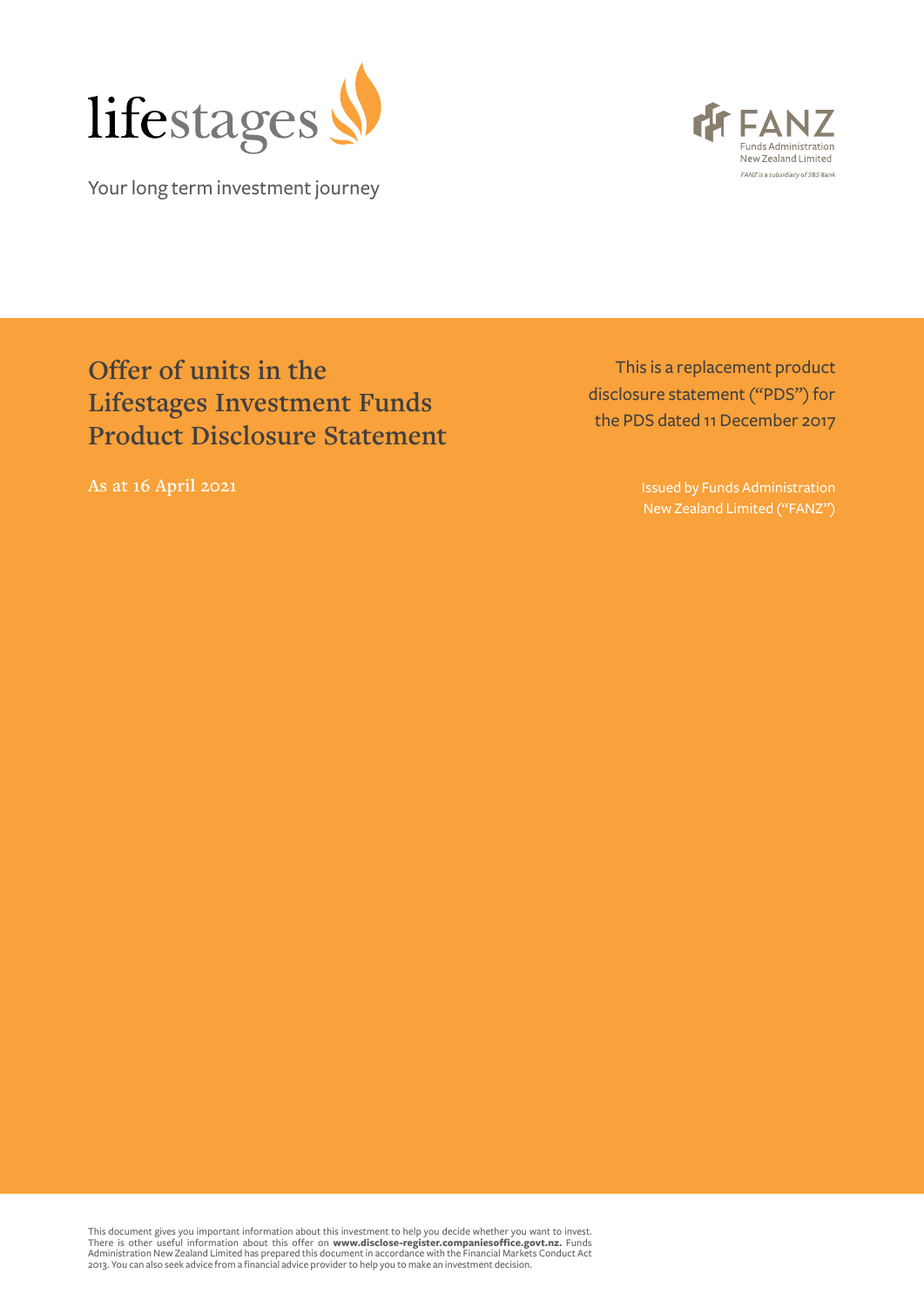

Your long term investment journey



# **Offer of units in the Lifestages Investment Funds Product Disclosure Statement**

This is a replacement product disclosure statement ("PDS") for the PDS dated 11 December 2017

**As at 16 April 2021 Issued by Funds Administration** New Zealand Limited ("FANZ")

This document gives you important information about this investment to help you decide whether you want to invest.<br>There is other useful information about this offer on **[www.disclose-register.companiesoffice.govt.nz](https://www.disclose-register.companiesoffice.govt.nz).** Fund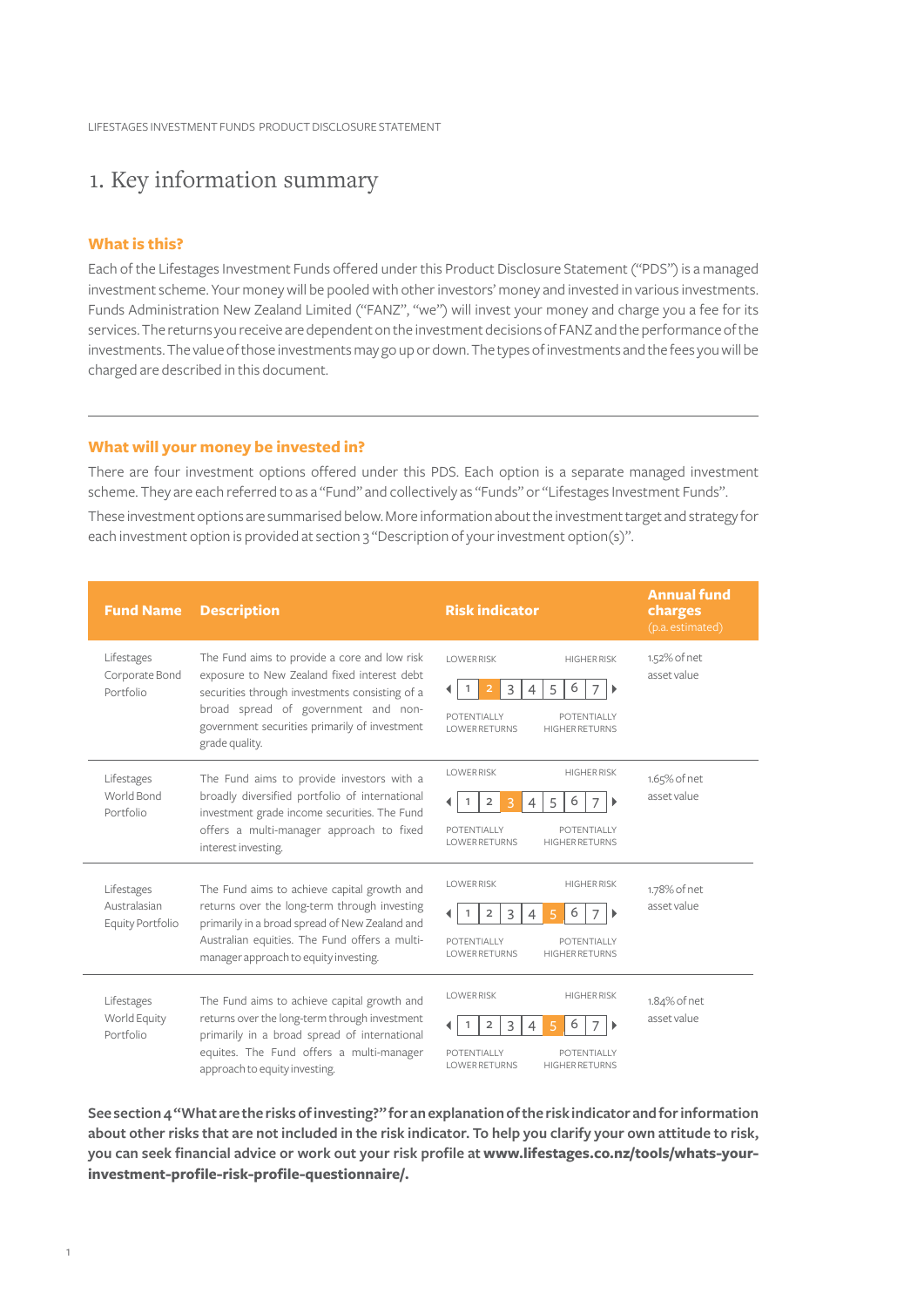### 1. Key information summary

#### **What is this?**

Each of the Lifestages Investment Funds offered under this Product Disclosure Statement ("PDS") is a managed investment scheme. Your money will be pooled with other investors' money and invested in various investments. Funds Administration New Zealand Limited ("FANZ", "we") will invest your money and charge you a fee for its services. The returns you receive are dependent on the investment decisions of FANZ and the performance of the investments. The value of those investments may go up or down. The types of investments and the fees you will be charged are described in this document.

#### **What will your money be invested in?**

There are four investment options offered under this PDS. Each option is a separate managed investment scheme. They are each referred to as a "Fund" and collectively as "Funds" or "Lifestages Investment Funds".

These investment options are summarised below. More information about the investment target and strategy for each investment option is provided at section 3 "Description of your investment option(s)".

| <b>Fund Name</b>                               | <b>Description</b>                                                                                                                                                                                                                                      | <b>Risk indicator</b>                                                                                                                                                                                                        | <b>Annual fund</b><br>charges<br>(p.a. estimated) |
|------------------------------------------------|---------------------------------------------------------------------------------------------------------------------------------------------------------------------------------------------------------------------------------------------------------|------------------------------------------------------------------------------------------------------------------------------------------------------------------------------------------------------------------------------|---------------------------------------------------|
| Lifestages<br>Corporate Bond<br>Portfolio      | The Fund aims to provide a core and low risk<br>exposure to New Zealand fixed interest debt<br>securities through investments consisting of a<br>broad spread of government and non-<br>government securities primarily of investment<br>grade quality. | <b>LOWER RISK</b><br><b>HIGHER RISK</b><br>6<br>3<br>5<br>7<br>$\overline{2}$<br>$\overline{1}$<br>$\overline{4}$<br>$\mathbf{r}$<br>◀<br>POTENTIALLY<br><b>POTENTIALLY</b><br><b>LOWER RETURNS</b><br><b>HIGHER RETURNS</b> | 1.52% of net<br>asset value                       |
| Lifestages<br>World Bond<br>Portfolio          | The Fund aims to provide investors with a<br>broadly diversified portfolio of international<br>investment grade income securities. The Fund<br>offers a multi-manager approach to fixed<br>interest investing.                                          | <b>LOWER RISK</b><br><b>HIGHER RISK</b><br>6<br>$\overline{2}$<br>5<br>3<br>7<br>4<br>POTENTIALLY<br><b>POTENTIALLY</b><br><b>LOWER RETURNS</b><br><b>HIGHER RETURNS</b>                                                     | 1.65% of net<br>asset value                       |
| Lifestages<br>Australasian<br>Equity Portfolio | The Fund aims to achieve capital growth and<br>returns over the long-term through investing<br>primarily in a broad spread of New Zealand and<br>Australian equities. The Fund offers a multi-<br>manager approach to equity investing.                 | <b>LOWER RISK</b><br><b>HIGHER RISK</b><br>6<br>$\overline{2}$<br>3<br>$\mathbf{1}$<br>7<br>5<br>4<br>,<br>POTENTIALLY<br><b>POTENTIALLY</b><br><b>LOWER RETURNS</b><br><b>HIGHER RETURNS</b>                                | 1.78% of net<br>asset value                       |
| Lifestages<br>World Equity<br>Portfolio        | The Fund aims to achieve capital growth and<br>returns over the long-term through investment<br>primarily in a broad spread of international<br>equites. The Fund offers a multi-manager<br>approach to equity investing.                               | <b>LOWER RISK</b><br><b>HIGHER RISK</b><br>6<br>$\overline{2}$<br>3<br>5<br>POTENTIALLY<br><b>POTENTIALLY</b><br><b>LOWER RETURNS</b><br><b>HIGHER RETURNS</b>                                                               | 1.84% of net<br>asset value                       |

**See section 4 "What are the risks of investing?" for an explanation of the risk indicator and for information about other risks that are not included in the risk indicator. To help you clarify your own attitude to risk, you can seek financial advice or work out your risk profile at [www.lifestages.co.nz/tools/whats-your](https://www.lifestages.co.nz/tools/whats-your-investment-profile-risk-profile-questionnaire/.)[investment-profile-risk-profile-questionnaire/.](https://www.lifestages.co.nz/tools/whats-your-investment-profile-risk-profile-questionnaire/.)**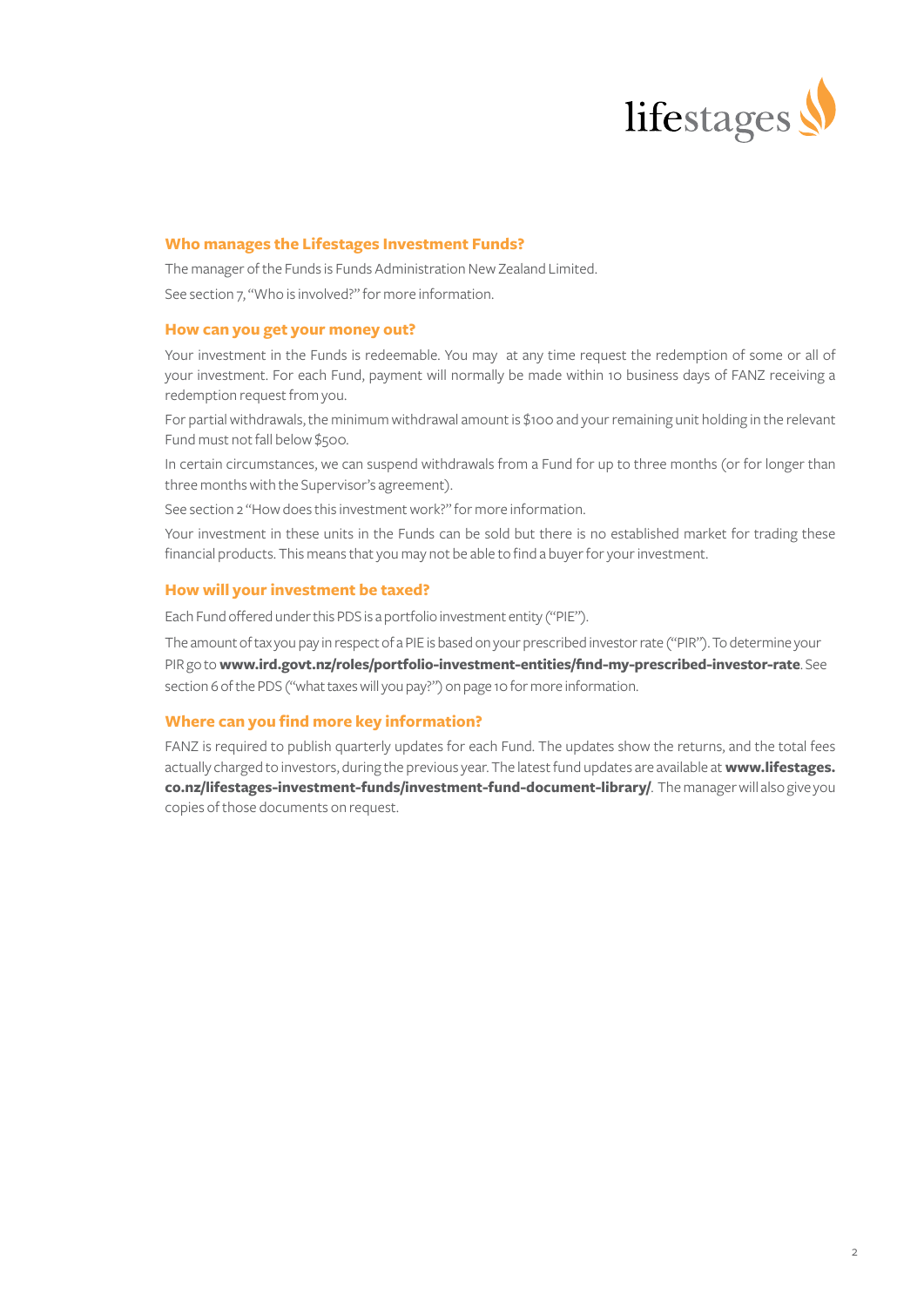

#### **Who manages the Lifestages Investment Funds?**

The manager of the Funds is Funds Administration New Zealand Limited. See section 7, "Who is involved?" for more information.

#### **How can you get your money out?**

Your investment in the Funds is redeemable. You may at any time request the redemption of some or all of your investment. For each Fund, payment will normally be made within 10 business days of FANZ receiving a redemption request from you.

For partial withdrawals, the minimum withdrawal amount is \$100 and your remaining unit holding in the relevant Fund must not fall below \$500.

In certain circumstances, we can suspend withdrawals from a Fund for up to three months (or for longer than three months with the Supervisor's agreement).

See section 2 "How does this investment work?" for more information.

Your investment in these units in the Funds can be sold but there is no established market for trading these financial products. This means that you may not be able to find a buyer for your investment.

#### **How will your investment be taxed?**

Each Fund offered under this PDS is a portfolio investment entity ("PIE").

The amount of tax you pay in respect of a PIE is based on your prescribed investor rate ("PIR"). To determine your PIR go to **[www.ird.govt.nz/roles/portfolio-investment-entities/find-my-prescribed-investor-rate](https://www.ird.govt.nz/roles/portfolio-investment-entities/find-my-prescribed-investor-rate)**. See section 6 of the PDS ("what taxes will you pay?") on page 10 for more information.

#### **Where can you find more key information?**

FANZ is required to publish quarterly updates for each Fund. The updates show the returns, and the total fees actually charged to investors, during the previous year. The latest fund updates are available at **[www.lifestages.](https://www.lifestages.co.nz/lifestages-investment-funds/investment-fund-document-library/) [co.nz/lifestages-investment-funds/investment-fund-document-library/](https://www.lifestages.co.nz/lifestages-investment-funds/investment-fund-document-library/)**. The manager will also give you copies of those documents on request.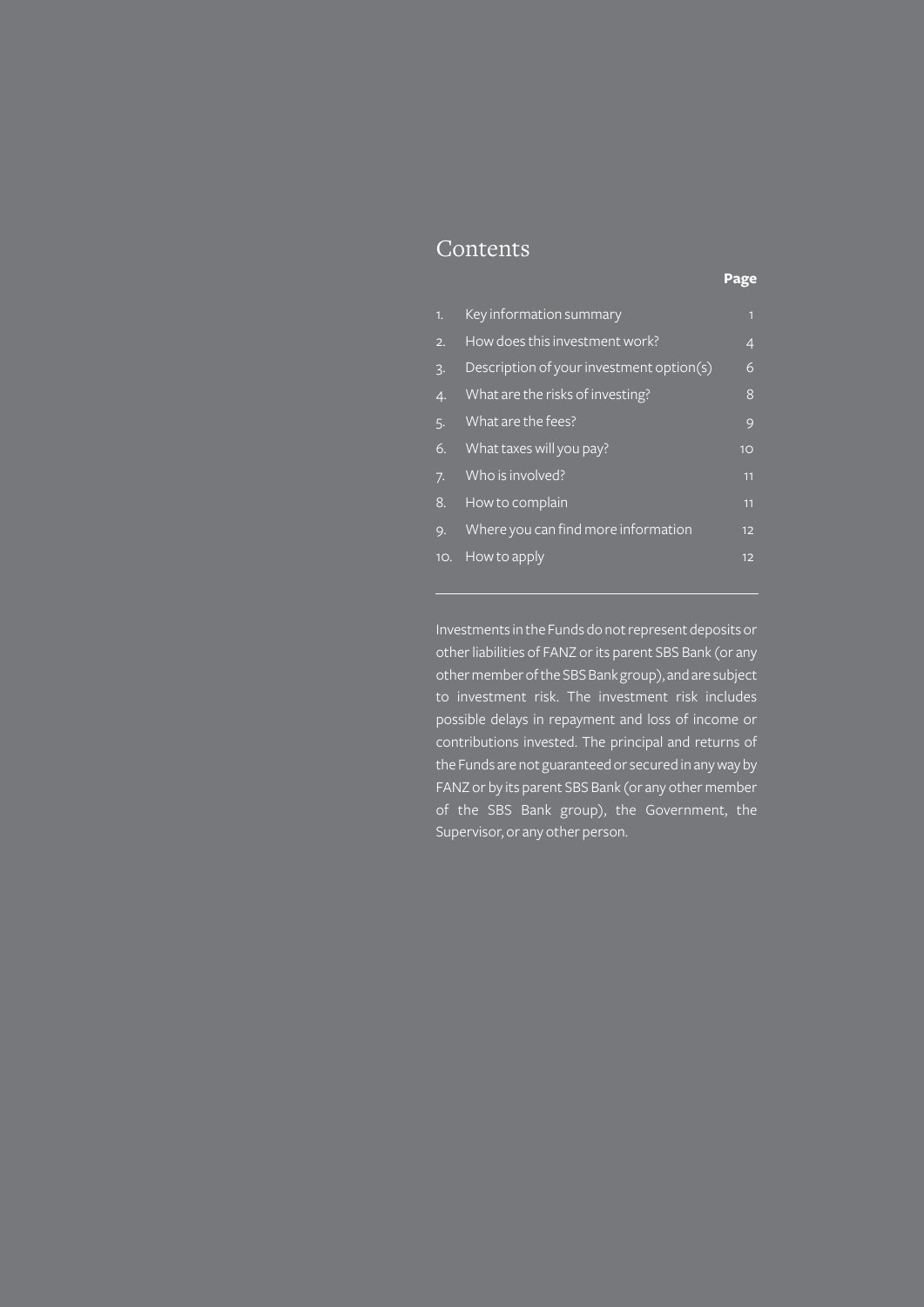### Contents

### **Page**

| 1.               | Key information summary                  | $\mathbf{1}$ |
|------------------|------------------------------------------|--------------|
| 2.               | How does this investment work?           | 4            |
| $\overline{3}$ . | Description of your investment option(s) | 6            |
| 4.               | What are the risks of investing?         | 8            |
| 5.               | What are the fees?                       | 9            |
| 6.               | What taxes will you pay?                 | 10           |
| 7.               | Who is involved?                         | 11           |
| 8.               | How to complain                          | 11           |
| 9.               | Where you can find more information      | 12           |
| 10.              | How to apply                             | 12           |

Investments in the Funds do not represent deposits or other liabilities of FANZ or its parent SBS Bank (or any other member of the SBS Bank group), and are subject to investment risk. The investment risk includes possible delays in repayment and loss of income or contributions invested. The principal and returns of the Funds are not guaranteed or secured in any way by FANZ or by its parent SBS Bank (or any other member of the SBS Bank group), the Government, the Supervisor, or any other person.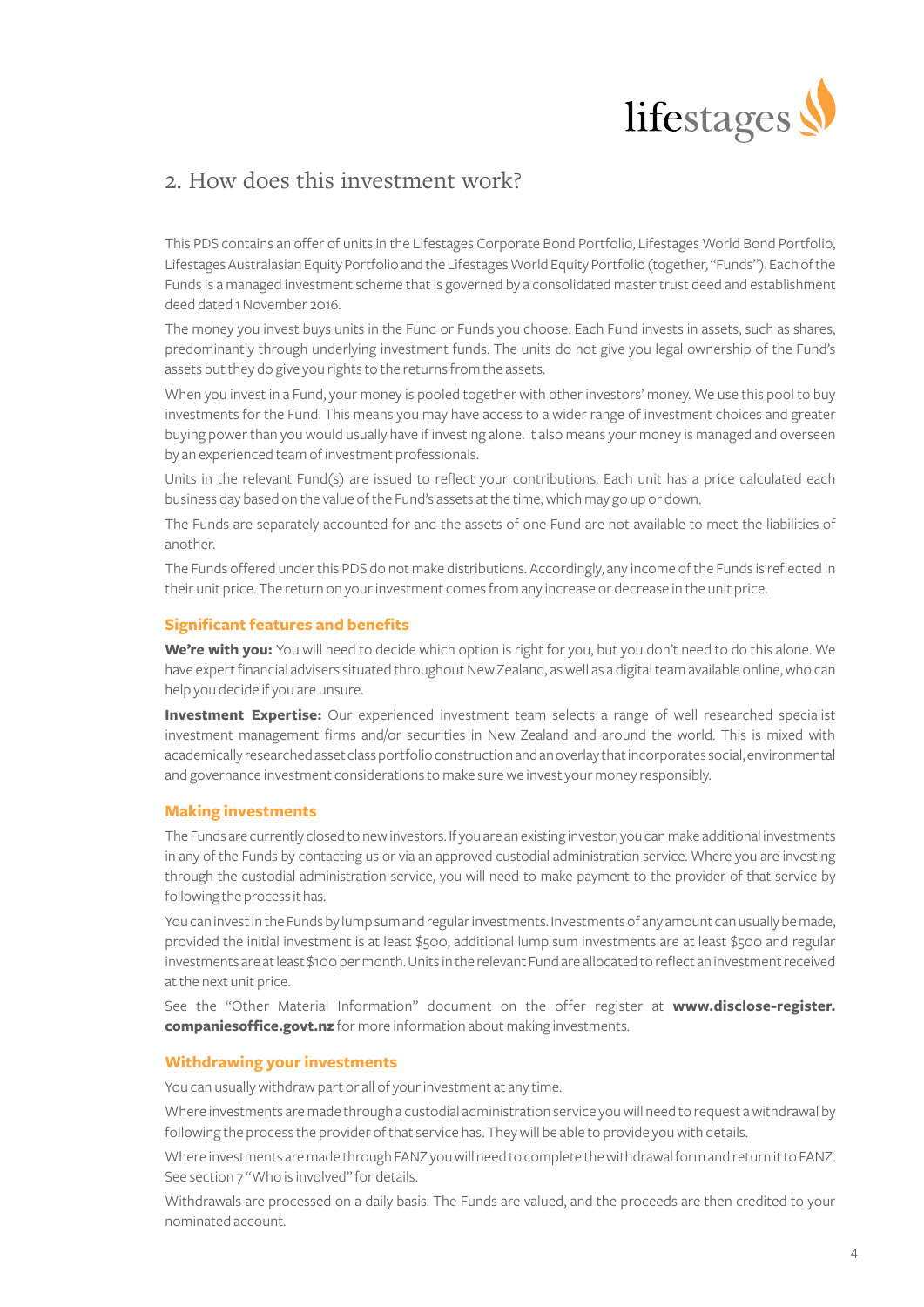

### 2. How does this investment work?

This PDS contains an offer of units in the Lifestages Corporate Bond Portfolio, Lifestages World Bond Portfolio, Lifestages Australasian Equity Portfolio and the Lifestages World Equity Portfolio (together, "Funds"). Each of the Funds is a managed investment scheme that is governed by a consolidated master trust deed and establishment deed dated 1 November 2016.

The money you invest buys units in the Fund or Funds you choose. Each Fund invests in assets, such as shares, predominantly through underlying investment funds. The units do not give you legal ownership of the Fund's assets but they do give you rights to the returns from the assets.

When you invest in a Fund, your money is pooled together with other investors' money. We use this pool to buy investments for the Fund. This means you may have access to a wider range of investment choices and greater buying power than you would usually have if investing alone. It also means your money is managed and overseen by an experienced team of investment professionals.

Units in the relevant Fund(s) are issued to reflect your contributions. Each unit has a price calculated each business day based on the value of the Fund's assets at the time, which may go up or down.

The Funds are separately accounted for and the assets of one Fund are not available to meet the liabilities of another.

The Funds offered under this PDS do not make distributions. Accordingly, any income of the Funds is reflected in their unit price. The return on your investment comes from any increase or decrease in the unit price.

#### **Significant features and benefits**

**We're with you:** You will need to decide which option is right for you, but you don't need to do this alone. We have expert financial advisers situated throughout New Zealand, as well as a digital team available online, who can help you decide if you are unsure.

**Investment Expertise:** Our experienced investment team selects a range of well researched specialist investment management firms and/or securities in New Zealand and around the world. This is mixed with academically researched asset class portfolio construction and an overlay that incorporates social, environmental and governance investment considerations to make sure we invest your money responsibly.

#### **Making investments**

The Funds are currently closed to new investors. If you are an existing investor, you can make additional investments in any of the Funds by contacting us or via an approved custodial administration service. Where you are investing through the custodial administration service, you will need to make payment to the provider of that service by following the process it has.

You can invest in the Funds by lump sum and regular investments. Investments of any amount can usually be made, provided the initial investment is at least \$500, additional lump sum investments are at least \$500 and regular investments are at least \$100 per month. Units in the relevant Fund are allocated to reflect an investment received at the next unit price.

See the "Other Material Information" document on the offer register at **[www.disclose-register.](https://www.disclose-register.companiesoffice.govt.nz) [companiesoffice.govt.nz](https://www.disclose-register.companiesoffice.govt.nz)** for more information about making investments.

#### **Withdrawing your investments**

You can usually withdraw part or all of your investment at any time.

Where investments are made through a custodial administration service you will need to request a withdrawal by following the process the provider of that service has. They will be able to provide you with details.

Where investments are made through FANZ you will need to complete the withdrawal form and return it to FANZ. See section 7 "Who is involved" for details.

Withdrawals are processed on a daily basis. The Funds are valued, and the proceeds are then credited to your nominated account.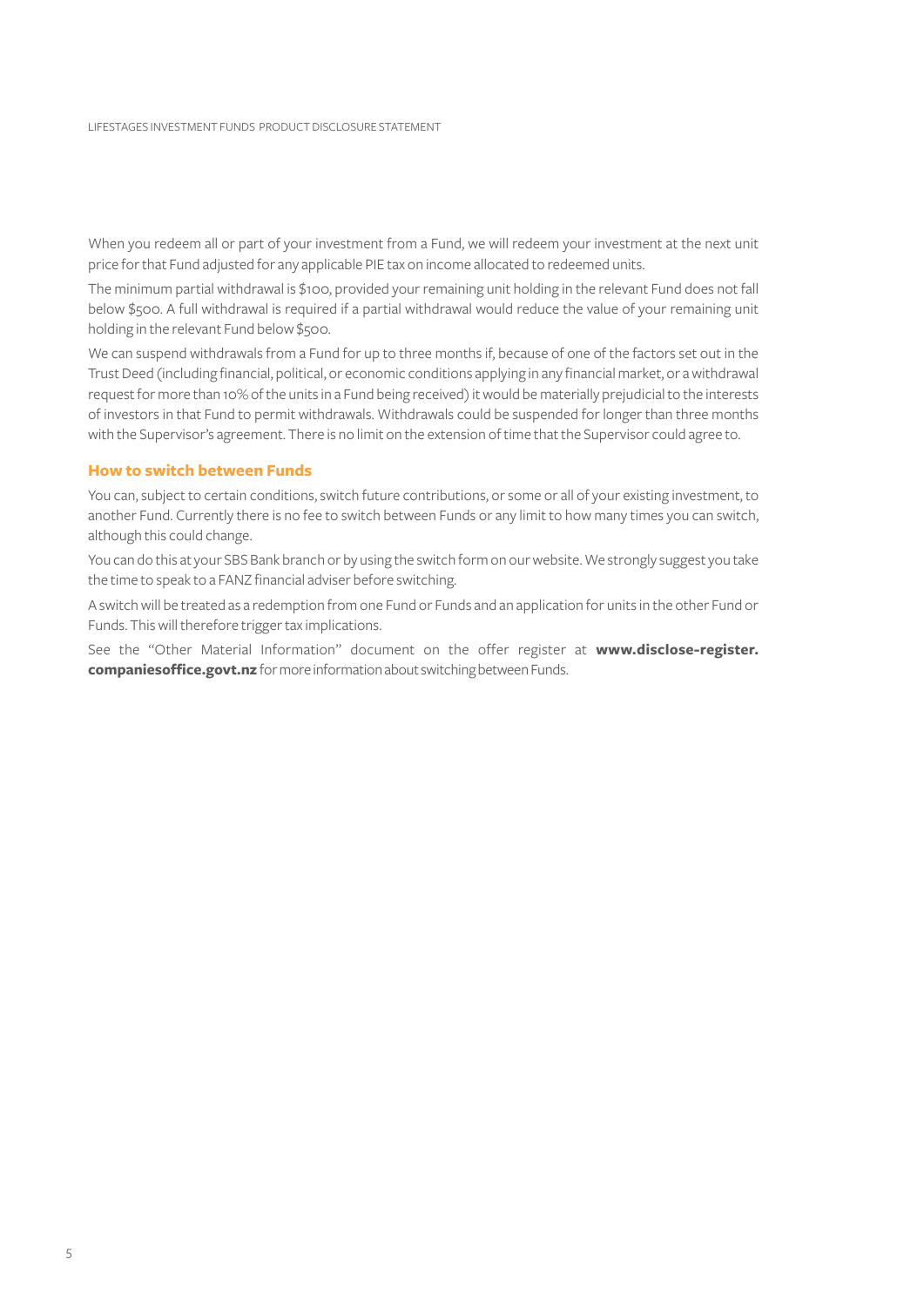When you redeem all or part of your investment from a Fund, we will redeem your investment at the next unit price for that Fund adjusted for any applicable PIE tax on income allocated to redeemed units.

The minimum partial withdrawal is \$100, provided your remaining unit holding in the relevant Fund does not fall below \$500. A full withdrawal is required if a partial withdrawal would reduce the value of your remaining unit holding in the relevant Fund below \$500.

We can suspend withdrawals from a Fund for up to three months if, because of one of the factors set out in the Trust Deed (including financial, political, or economic conditions applying in any financial market, or a withdrawal request for more than 10% of the units in a Fund being received) it would be materially prejudicial to the interests of investors in that Fund to permit withdrawals. Withdrawals could be suspended for longer than three months with the Supervisor's agreement. There is no limit on the extension of time that the Supervisor could agree to.

#### **How to switch between Funds**

You can, subject to certain conditions, switch future contributions, or some or all of your existing investment, to another Fund. Currently there is no fee to switch between Funds or any limit to how many times you can switch, although this could change.

You can do this at your SBS Bank branch or by using the switch form on our website. We strongly suggest you take the time to speak to a FANZ financial adviser before switching.

A switch will be treated as a redemption from one Fund or Funds and an application for units in the other Fund or Funds. This will therefore trigger tax implications.

See the "Other Material Information" document on the offer register at **[www.disclose-register.](https://www.disclose-register.companiesoffice.govt.nz) [companiesoffice.govt.nz](https://www.disclose-register.companiesoffice.govt.nz)** for more information about switching between Funds.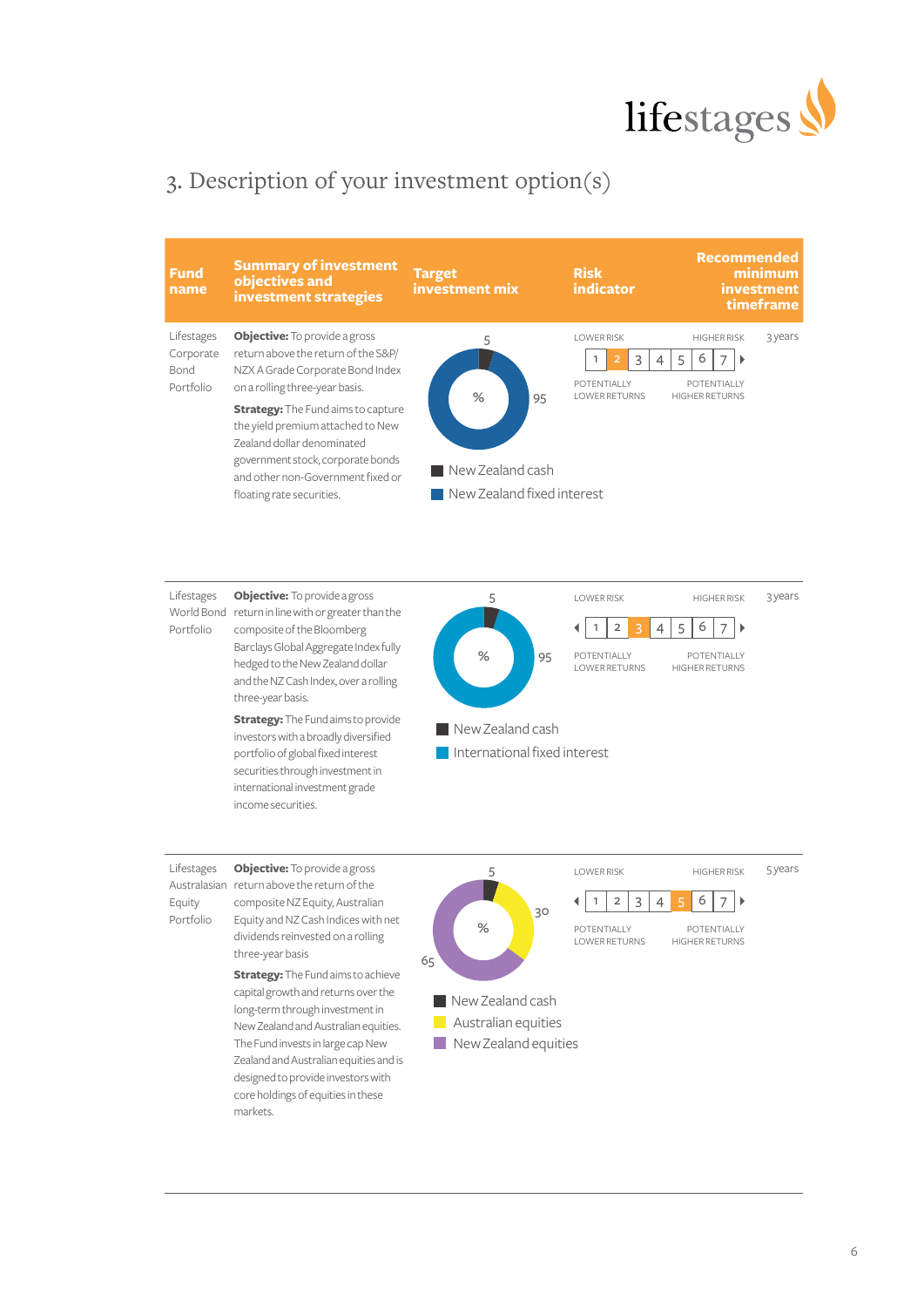

# 3. Description of your investment option(s)



**Objective:** To provide a gross Lifestages 5 LOWER RISK HIGHER RISK 3 years World Bond return in line with or greater than the  $1 \ 2 \ 3 \ 4 \ 5 \ 6 \ 7$  $\blacktriangleleft$  $\begin{array}{c} \hline \end{array}$ composite of the Bloomberg Portfolio Barclays Global Aggregate Index fully **%** 95 **POTENTIALLY** POTENTIALLY hedged to the New Zealand dollar LOWER RETURNS HIGHER RETURNS and the NZ Cash Index, over a rolling three-year basis. **Strategy:** The Fund aims to provide New Zealand cash investors with a broadly diversified portfolio of global fixed interest **International fixed interest** securities through investment in international investment grade income securities. Lifestages **Objective:** To provide a gross 5 LOWER RISK HIGHER RISK 5 years Australasian return above the return of the  $1 | 2 | 3 | 4 | 5 | 6 | 7 |$ Equity composite NZ Equity, Australian 30 Portfolio Equity and NZ Cash Indices with net POTENTIALLY **%** POTENTIALLY dividends reinvested on a rolling HIGHER RETURNS

three-year basis **Strategy:** The Fund aims to achieve capital growth and returns over the long-term through investment in New Zealand and Australian equities. The Fund invests in large cap New Zealand and Australian equities and is designed to provide investors with core holdings of equities in these markets. LOWER RETURNS **Australian equities** New Zealand equities New Zealand cash 65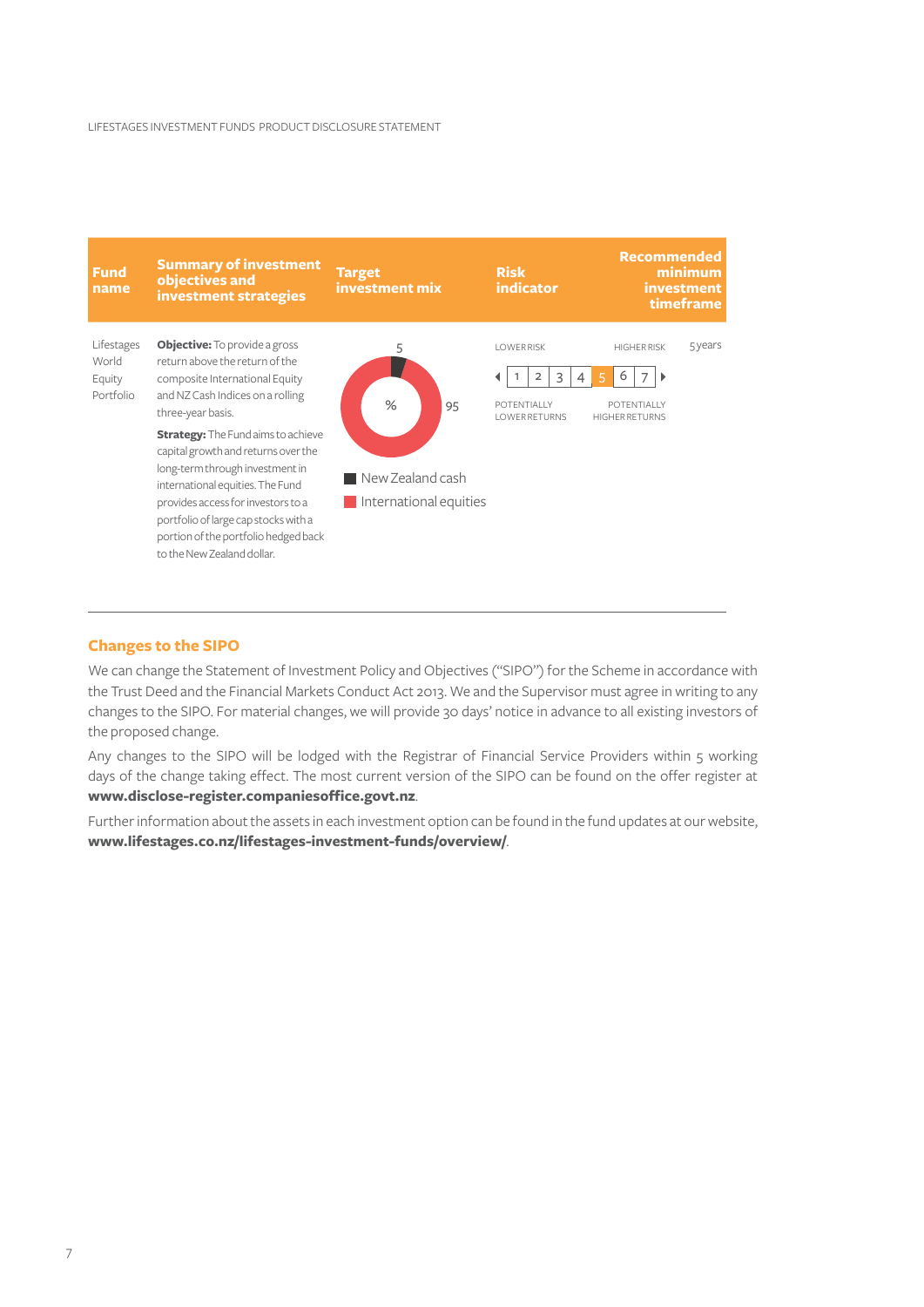

#### **Changes to the SIPO**

We can change the Statement of Investment Policy and Objectives ("SIPO") for the Scheme in accordance with the Trust Deed and the Financial Markets Conduct Act 2013. We and the Supervisor must agree in writing to any changes to the SIPO. For material changes, we will provide 30 days' notice in advance to all existing investors of the proposed change.

Any changes to the SIPO will be lodged with the Registrar of Financial Service Providers within 5 working days of the change taking effect. The most current version of the SIPO can be found on the offer register at **[www.disclose-register.companiesoffice.govt.nz](https://www.disclose-register.companiesoffice.govt.nz)**.

Further information about the assets in each investment option can be found in the fund updates at our website, **[www.lifestages.co.nz/lifestages-investment-funds/overview/](https://www.lifestages.co.nz/lifestages-investment-funds/overview/)**.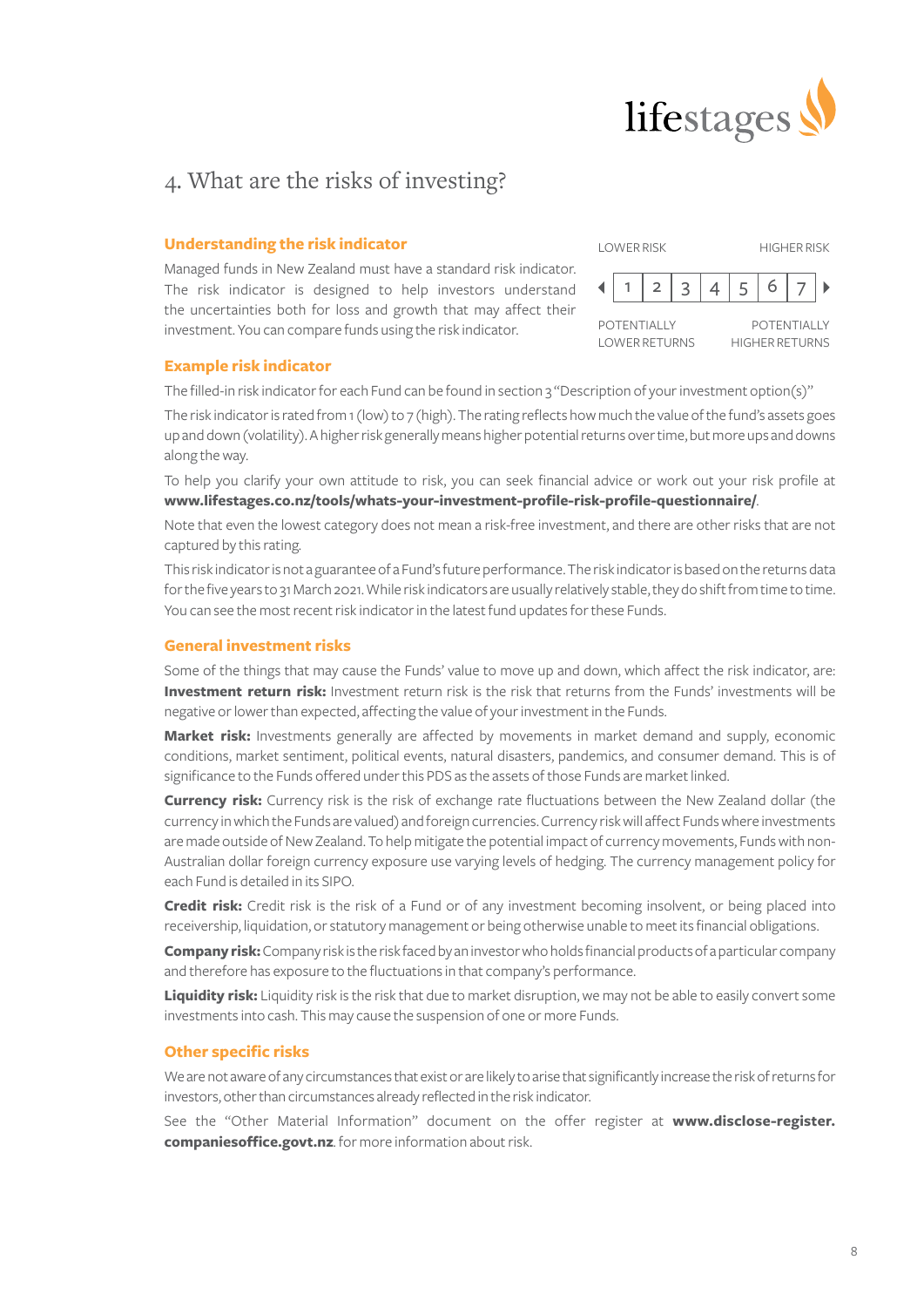

## 4. What are the risks of investing?

#### **Understanding the risk indicator**

Managed funds in New Zealand must have a standard risk indicator. The risk indicator is designed to help investors understand the uncertainties both for loss and growth that may affect their investment. You can compare funds using the risk indicator.

| <b>LOWER RISK</b> |                                            |  |   |   | <b>HIGHER RISK</b>                          |  |  |
|-------------------|--------------------------------------------|--|---|---|---------------------------------------------|--|--|
|                   |                                            |  | 3 | 5 |                                             |  |  |
|                   | <b>POTENTIALLY</b><br><b>LOWER RETURNS</b> |  |   |   | <b>POTENTIALLY</b><br><b>HIGHER RETURNS</b> |  |  |

#### **Example risk indicator**

The filled-in risk indicator for each Fund can be found in section 3 "Description of your investment option(s)"

The risk indicator is rated from 1 (low) to 7 (high). The rating reflects how much the value of the fund's assets goes up and down (volatility). A higher risk generally means higher potential returns over time, but more ups and downs along the way.

To help you clarify your own attitude to risk, you can seek financial advice or work out your risk profile at **[www.lifestages.co.nz/tools/whats-your-investment-profile-risk-profile-questionnaire/](https://www.lifestages.co.nz/tools/whats-your-investment-profile-risk-profile-questionnaire/)**.

Note that even the lowest category does not mean a risk-free investment, and there are other risks that are not captured by this rating.

This risk indicator is not a guarantee of a Fund's future performance. The risk indicator is based on the returns data for the five years to 31 March 2021. While risk indicators are usually relatively stable, they do shift from time to time. You can see the most recent risk indicator in the latest fund updates for these Funds.

#### **General investment risks**

Some of the things that may cause the Funds' value to move up and down, which affect the risk indicator, are: **Investment return risk:** Investment return risk is the risk that returns from the Funds' investments will be negative or lower than expected, affecting the value of your investment in the Funds.

**Market risk:** Investments generally are affected by movements in market demand and supply, economic conditions, market sentiment, political events, natural disasters, pandemics, and consumer demand. This is of significance to the Funds offered under this PDS as the assets of those Funds are market linked.

**Currency risk:** Currency risk is the risk of exchange rate fluctuations between the New Zealand dollar (the currency in which the Funds are valued) and foreign currencies. Currency risk will affect Funds where investments are made outside of New Zealand. To help mitigate the potential impact of currency movements, Funds with non-Australian dollar foreign currency exposure use varying levels of hedging. The currency management policy for each Fund is detailed in its SIPO.

**Credit risk:** Credit risk is the risk of a Fund or of any investment becoming insolvent, or being placed into receivership, liquidation, or statutory management or being otherwise unable to meet its financial obligations.

**Company risk:** Company risk is the risk faced by an investor who holds financial products of a particular company and therefore has exposure to the fluctuations in that company's performance.

**Liquidity risk:** Liquidity risk is the risk that due to market disruption, we may not be able to easily convert some investments into cash. This may cause the suspension of one or more Funds.

#### **Other specific risks**

We are not aware of any circumstances that exist or are likely to arise that significantly increase the risk of returns for investors, other than circumstances already reflected in the risk indicator.

See the "Other Material Information" document on the offer register at **[www.disclose-register.](https://www.disclose-register.companiesoffice.govt.nz) [companiesoffice.govt.nz](https://www.disclose-register.companiesoffice.govt.nz)**. for more information about risk.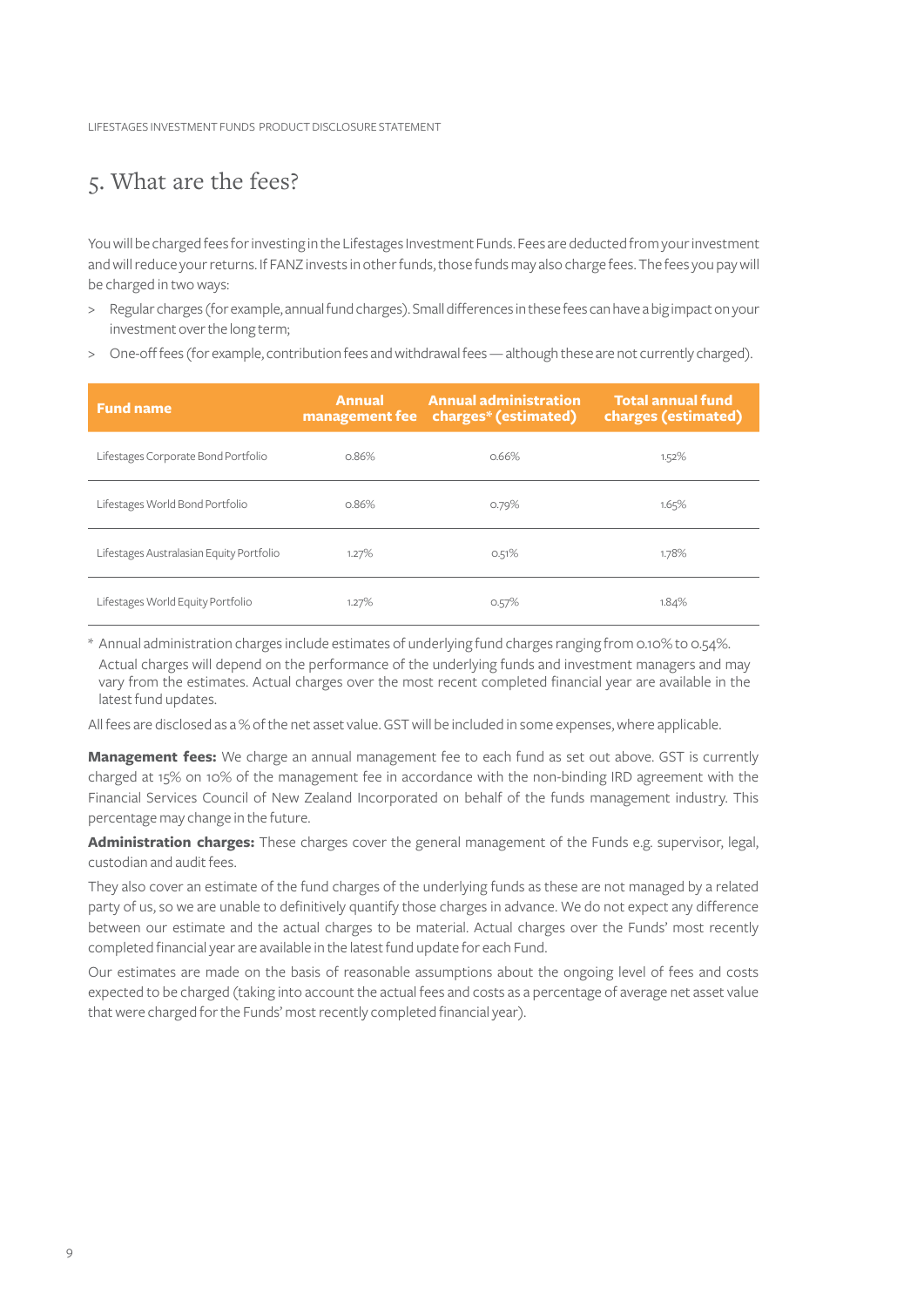LIFESTAGES INVESTMENT FUNDS PRODUCT DISCLOSURE STATEMENT

### 5. What are the fees?

You will be charged fees for investing in the Lifestages Investment Funds. Fees are deducted from your investment and will reduce your returns. If FANZ invests in other funds, those funds may also charge fees. The fees you pay will be charged in two ways:

- > Regular charges (for example, annual fund charges). Small differences in these fees can have a big impact on your investment over the long term;
- > One-off fees (for example, contribution fees and withdrawal fees although these are not currently charged).

| <b>Fund name</b>                         | <b>Annual administration</b><br><b>Annual</b><br>management fee charges* (estimated) |       | Total annual fund<br>charges (estimated) |  |
|------------------------------------------|--------------------------------------------------------------------------------------|-------|------------------------------------------|--|
| Lifestages Corporate Bond Portfolio      | 0.86%                                                                                | 0.66% | 1.52%                                    |  |
| Lifestages World Bond Portfolio          | 0.86%                                                                                | 0.79% | 1.65%                                    |  |
| Lifestages Australasian Equity Portfolio | 1.27%                                                                                | 0.51% | 1.78%                                    |  |
| Lifestages World Equity Portfolio        | 1.27%                                                                                | 0.57% | 1.84%                                    |  |

\* Annual administration charges include estimates of underlying fund charges ranging from 0.10% to 0.54%. Actual charges will depend on the performance of the underlying funds and investment managers and may vary from the estimates. Actual charges over the most recent completed financial year are available in the latest fund updates.

All fees are disclosed as a % of the net asset value. GST will be included in some expenses, where applicable.

**Management fees:** We charge an annual management fee to each fund as set out above. GST is currently charged at 15% on 10% of the management fee in accordance with the non-binding IRD agreement with the Financial Services Council of New Zealand Incorporated on behalf of the funds management industry. This percentage may change in the future.

**Administration charges:** These charges cover the general management of the Funds e.g. supervisor, legal, custodian and audit fees.

They also cover an estimate of the fund charges of the underlying funds as these are not managed by a related party of us, so we are unable to definitively quantify those charges in advance. We do not expect any difference between our estimate and the actual charges to be material. Actual charges over the Funds' most recently completed financial year are available in the latest fund update for each Fund.

Our estimates are made on the basis of reasonable assumptions about the ongoing level of fees and costs expected to be charged (taking into account the actual fees and costs as a percentage of average net asset value that were charged for the Funds' most recently completed financial year).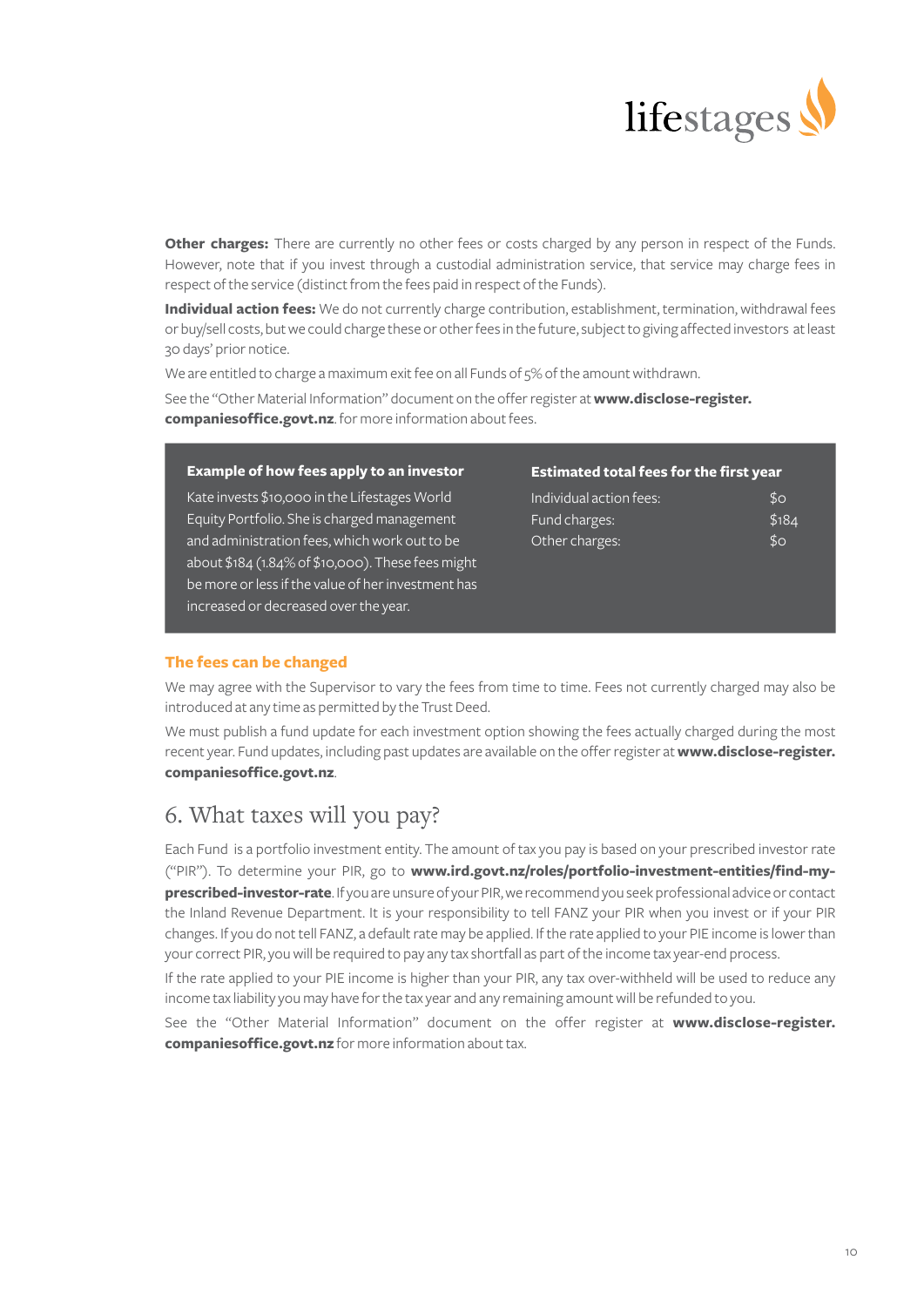

**Other charges:** There are currently no other fees or costs charged by any person in respect of the Funds. However, note that if you invest through a custodial administration service, that service may charge fees in respect of the service (distinct from the fees paid in respect of the Funds).

**Individual action fees:** We do not currently charge contribution, establishment, termination, withdrawal fees or buy/sell costs, but we could charge these or other fees in the future, subject to giving affected investors at least 30 days' prior notice.

We are entitled to charge a maximum exit fee on all Funds of 5% of the amount withdrawn. See the "Other Material Information" document on the offer register at **[www.disclose-register.](https://www.disclose-register.companiesoffice.govt.nz) [companiesoffice.govt.nz](https://www.disclose-register.companiesoffice.govt.nz)**. for more information about fees.

#### **Example of how fees apply to an investor**

Kate invests \$10,000 in the Lifestages World Equity Portfolio. She is charged management and administration fees, which work out to be about \$184 (1.84% of \$10,000). These fees might be more or less if the value of her investment has increased or decreased over the year.

#### **Estimated total fees for the first year**

| Individual action fees: | $$^{o}$ |
|-------------------------|---------|
| Fund charges:           | \$184   |
| Other charges:          | $$^{O}$ |

#### **The fees can be changed**

We may agree with the Supervisor to vary the fees from time to time. Fees not currently charged may also be introduced at any time as permitted by the Trust Deed.

We must publish a fund update for each investment option showing the fees actually charged during the most recent year. Fund updates, including past updates are available on the offer register at **[www.disclose-register.](https://www.disclose-register.companiesoffice.govt.nz) [companiesoffice.govt.nz](https://www.disclose-register.companiesoffice.govt.nz)**.

## 6. What taxes will you pay?

Each Fund is a portfolio investment entity. The amount of tax you pay is based on your prescribed investor rate ("PIR"). To determine your PIR, go to **[www.ird.govt.nz/roles/portfolio-investment-entities/find-my](https://www.ird.govt.nz/roles/portfolio-investment-entities/find-my-prescribed-investor-rate)[prescribed-investor-rate](https://www.ird.govt.nz/roles/portfolio-investment-entities/find-my-prescribed-investor-rate)**. If you are unsure of your PIR, we recommend you seek professional advice or contact the Inland Revenue Department. It is your responsibility to tell FANZ your PIR when you invest or if your PIR changes. If you do not tell FANZ, a default rate may be applied. If the rate applied to your PIE income is lower than your correct PIR, you will be required to pay any tax shortfall as part of the income tax year-end process.

If the rate applied to your PIE income is higher than your PIR, any tax over-withheld will be used to reduce any income tax liability you may have for the tax year and any remaining amount will be refunded to you.

See the "Other Material Information" document on the offer register at **[www.disclose-register.](https://www.disclose-register.companiesoffice.govt.nz) [companiesoffice.govt.nz](https://www.disclose-register.companiesoffice.govt.nz)** for more information about tax.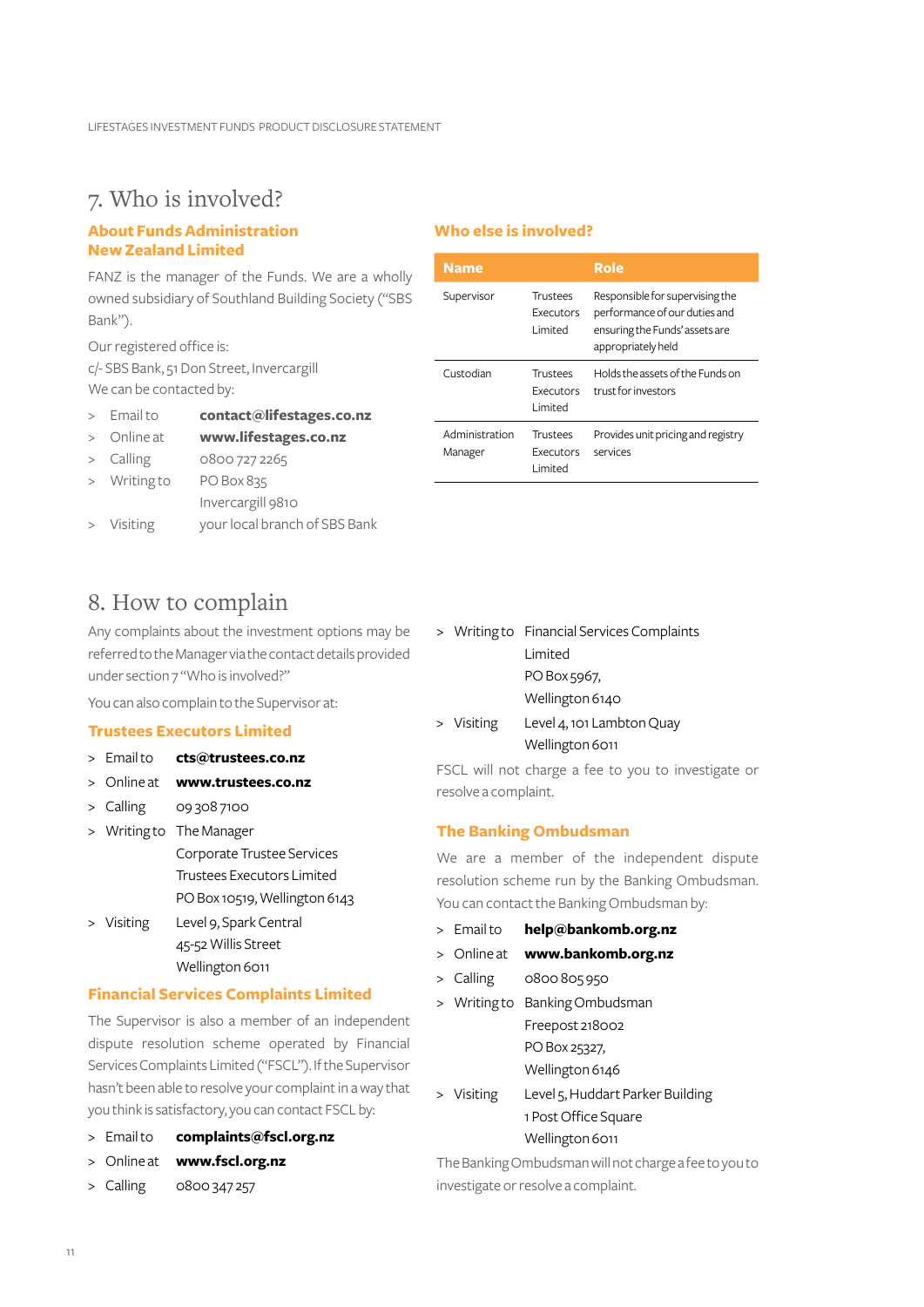### 7. Who is involved?

#### **About FundsAdministration NewZealand Limited**

FANZ is the manager of the Funds. We are a wholly owned subsidiary of Southland Building Society ("SBS Bank").

Our registered office is: c/- SBS Bank, 51 Don Street, Invercargill We can be contacted by:

- > Email to **[contact@lifestages.co.nz](mailto:contact%40lifestages.co.nz?subject=)**
- > Online at **[www.lifestages.co.nz](https://www.lifestages.co.nz/)**

> Calling 0800 727 2265

- > Writing to PO Box 835
	- Invercargill 9810
- > Visiting your local branch of SBS Bank

### 8. How to complain

Any complaints about the investment options may be referred to the Manager via the contact details provided under section 7 "Who is involved?"

You can also complain to the Supervisor at:

#### **Trustees Executors Limited**

- > Email to **cts@trustees.co.nz**
- > Online at **[www.trustees.co.nz](https://www.trustees.co.nz/)**
- > Calling 09 308 7100
- > Writing to The Manager Corporate Trustee Services Trustees Executors Limited PO Box 10519, Wellington 6143 > Visiting Level 9, Spark Central
- 45-52 Willis Street Wellington 6011

#### **Financial Services Complaints Limited**

The Supervisor is also a member of an independent dispute resolution scheme operated by Financial Services Complaints Limited ("FSCL"). If the Supervisor hasn't been able to resolve your complaint in a way that you think is satisfactory, you can contact FSCL by:

- > Email to **[complaints@fscl.org.nz](mailto:complaints%40fscl.org.nz?subject=)**
- > Online at **[www.fscl.org.nz](http://www.fscl.org.nz)**
- > Calling 0800 347 257

#### **Who else is involved?**

| <b>Name</b>               |                                                 | Role                                                                                                                     |
|---------------------------|-------------------------------------------------|--------------------------------------------------------------------------------------------------------------------------|
| Supervisor                | Trustees<br>Executors<br>I imited               | Responsible for supervising the<br>performance of our duties and<br>ensuring the Funds' assets are<br>appropriately held |
| Custodian                 | <b>Trustees</b><br><b>Executors</b><br>I imited | Holds the assets of the Funds on<br>trust for investors                                                                  |
| Administration<br>Manager | Trustees<br>Executors<br>I imited               | Provides unit pricing and registry<br>services                                                                           |

- > Writing to Financial Services Complaints Limited PO Box 5967, Wellington 6140
- > Visiting Level 4, 101 Lambton Quay Wellington 6011

FSCL will not charge a fee to you to investigate or resolve a complaint.

#### **The Banking Ombudsman**

We are a member of the independent dispute resolution scheme run by the Banking Ombudsman. You can contact the Banking Ombudsman by:

- > Email to **[help@bankomb.org.nz](mailto:help%40bankomb.org.nz?subject=)**
- > Online at **[www.bankomb.org.nz](https://bankomb.org.nz/)**
- > Calling 0800 805 950
- > Writing to Banking Ombudsman Freepost 218002 PO Box 25327, Wellington 6146
- > Visiting Level 5, Huddart Parker Building 1 Post Office Square Wellington 6011

The Banking Ombudsman will not charge a fee to you to investigate or resolve a complaint.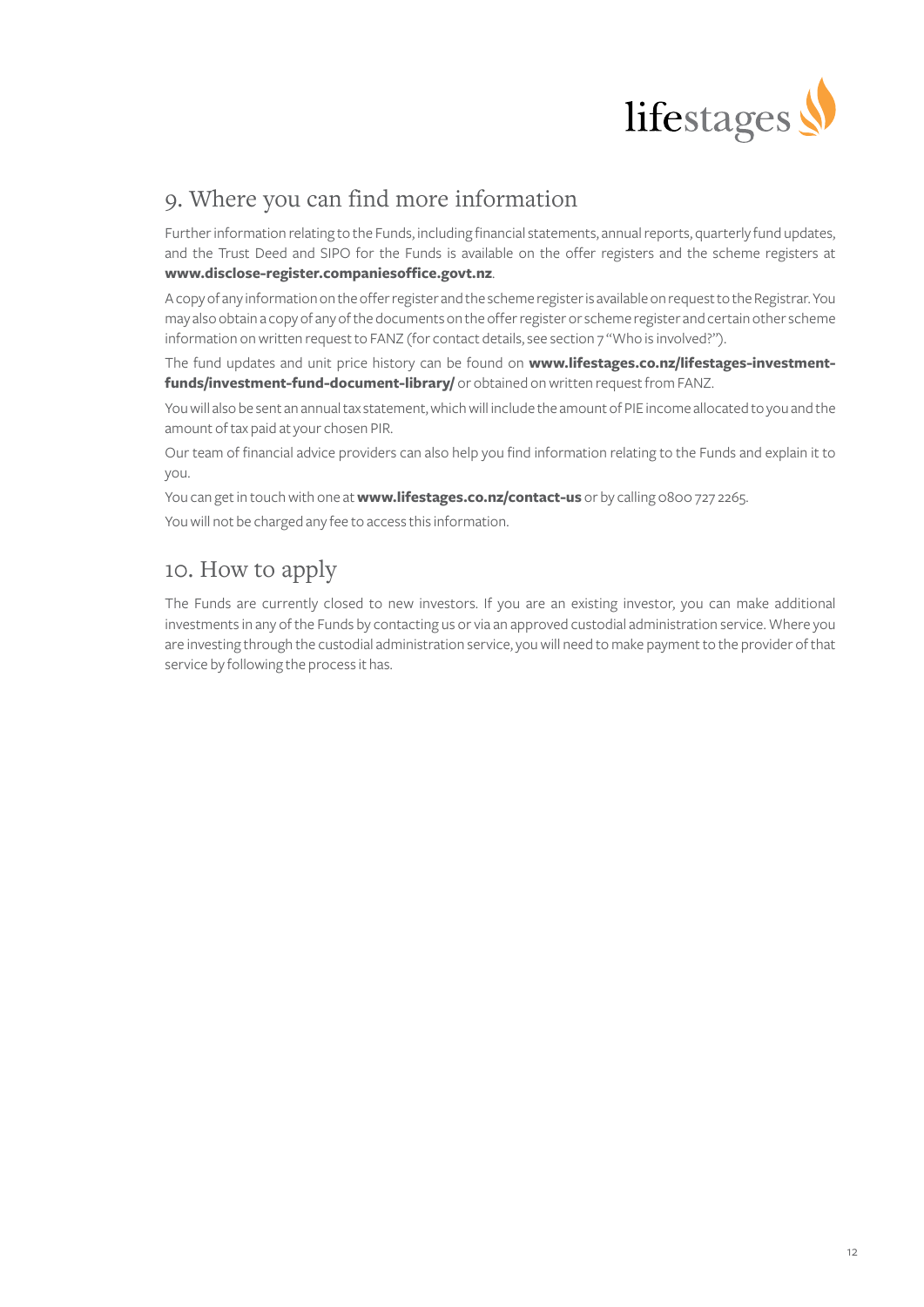

## 9. Where you can find more information

Further information relating to the Funds, including financial statements, annual reports, quarterly fund updates, and the Trust Deed and SIPO for the Funds is available on the offer registers and the scheme registers at **[www.disclose-register.companiesoffice.govt.nz](https://www.disclose-register.companiesoffice.govt.nz)**.

A copy of any information on the offer register and the scheme register is available on request to the Registrar. You may also obtain a copy of any of the documents on the offer register or scheme register and certain other scheme information on written request to FANZ (for contact details, see section 7 "Who is involved?").

The fund updates and unit price history can be found on **[www.lifestages.co.nz/lifestages-investment](https://www.lifestages.co.nz/lifestages-investment-funds/investment-fund-document-library/ )[funds/investment-fund-document-library/](https://www.lifestages.co.nz/lifestages-investment-funds/investment-fund-document-library/ )** or obtained on written request from FANZ.

You will also be sent an annual tax statement, which will include the amount of PIE income allocated to you and the amount of tax paid at your chosen PIR.

Our team of financial advice providers can also help you find information relating to the Funds and explain it to you.

You can get in touch with one at **[www.lifestages.co.nz/contact-us](https://www.lifestages.co.nz/contact-us)** or by calling 0800 727 2265.

You will not be charged any fee to access this information.

## 10. How to apply

The Funds are currently closed to new investors. If you are an existing investor, you can make additional investments in any of the Funds by contacting us or via an approved custodial administration service. Where you are investing through the custodial administration service, you will need to make payment to the provider of that service by following the process it has.